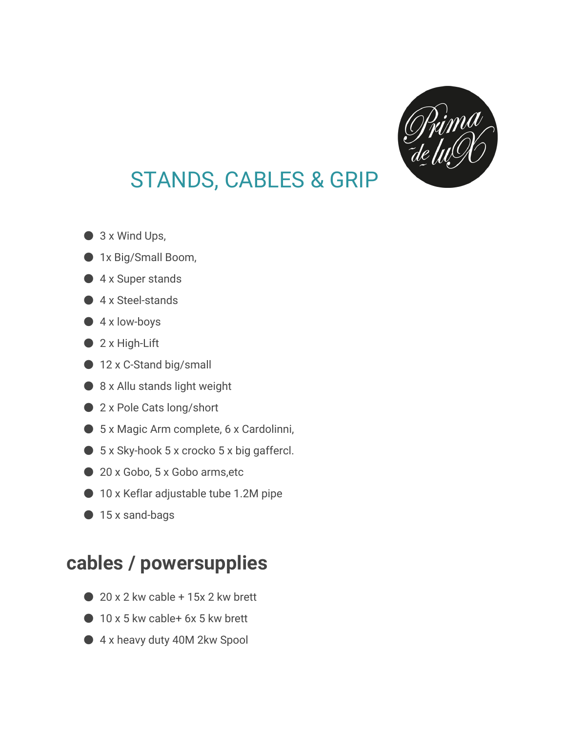

## STANDS, CABLES & GRIP

- $\bullet$  3 x Wind Ups,
- 1x Big/Small Boom,
- 4 x Super stands
- 4 x Steel-stands
- $\bullet$  4 x low-boys
- $\bullet$  2 x High-Lift
- 12 x C-Stand big/small
- 8 x Allu stands light weight
- 2 x Pole Cats long/short
- 5 x Magic Arm complete, 6 x Cardolinni,
- $\bullet$  5 x Sky-hook 5 x crocko 5 x big gaffercl.
- 20 x Gobo, 5 x Gobo arms, etc
- 10 x Keflar adjustable tube 1.2M pipe
- 15 x sand-bags

## **cables / powersupplies**

- $\bullet$  20 x 2 kw cable + 15x 2 kw brett
- $\bigcirc$  10 x 5 kw cable+ 6x 5 kw brett
- 4 x heavy duty 40M 2kw Spool